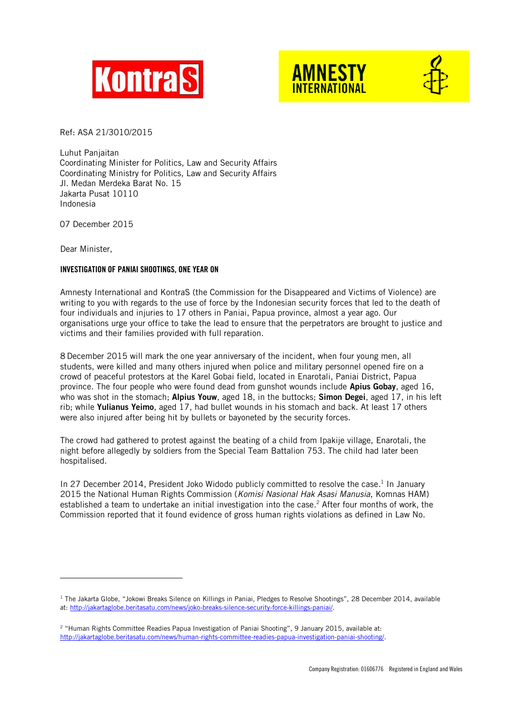





Ref: ASA 21/3010/2015

Luhut Panjaitan Coordinating Minister for Politics, Law and Security Affairs Coordinating Ministry for Politics, Law and Security Affairs Jl. Medan Merdeka Barat No. 15 Jakarta Pusat 10110 Indonesia

07 December 2015

Dear Minister,

-

## INVESTIGATION OF PANIAI SHOOTINGS, ONE YEAR ON

Amnesty International and KontraS (the Commission for the Disappeared and Victims of Violence) are writing to you with regards to the use of force by the Indonesian security forces that led to the death of four individuals and injuries to 17 others in Paniai, Papua province, almost a year ago. Our organisations urge your office to take the lead to ensure that the perpetrators are brought to justice and victims and their families provided with full reparation.

8 December 2015 will mark the one year anniversary of the incident, when four young men, all students, were killed and many others injured when police and military personnel opened fire on a crowd of peaceful protestors at the Karel Gobai field, located in Enarotali, Paniai District, Papua province. The four people who were found dead from gunshot wounds include Apius Gobay, aged 16, who was shot in the stomach: Alpius Youw, aged 18, in the buttocks: Simon Degei, aged 17, in his left rib; while Yulianus Yeimo, aged 17, had bullet wounds in his stomach and back. At least 17 others were also injured after being hit by bullets or bayoneted by the security forces.

The crowd had gathered to protest against the beating of a child from Ipakije village, Enarotali, the night before allegedly by soldiers from the Special Team Battalion 753. The child had later been hospitalised.

In 27 December 2014, President Joko Widodo publicly committed to resolve the case.<sup>1</sup> In January 2015 the National Human Rights Commission (*Komisi Nasional Hak Asasi Manusia*, Komnas HAM) established a team to undertake an initial investigation into the case. <sup>2</sup> After four months of work, the Commission reported that it found evidence of gross human rights violations as defined in Law No.

 $1$  The Jakarta Globe, "Jokowi Breaks Silence on Killings in Paniai, Pledges to Resolve Shootings", 28 December 2014, available at: [http://jakartaglobe.beritasatu.com/news/joko-breaks-silence-security-force-killings-paniai/.](http://jakartaglobe.beritasatu.com/news/joko-breaks-silence-security-force-killings-paniai/)

<sup>2</sup> "Human Rights Committee Readies Papua Investigation of Paniai Shooting", 9 January 2015, available at: [http://jakartaglobe.beritasatu.com/news/human-rights-committee-readies-papua-investigation-paniai-shooting/.](http://jakartaglobe.beritasatu.com/news/human-rights-committee-readies-papua-investigation-paniai-shooting/)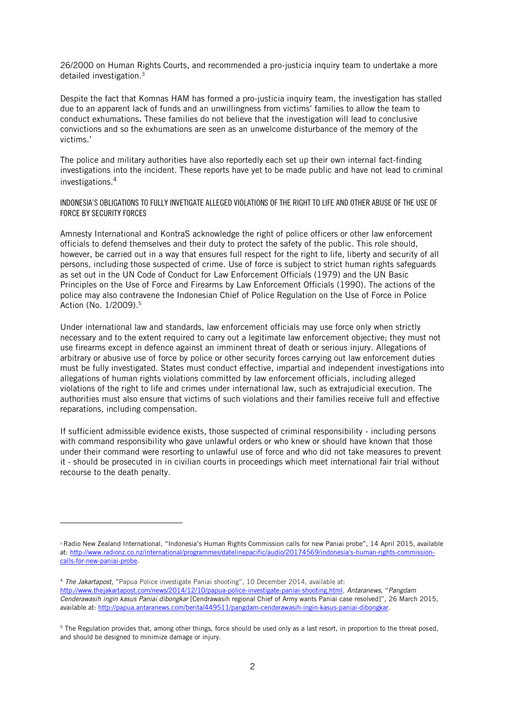26/2000 on Human Rights Courts, and recommended a pro-justicia inquiry team to undertake a more detailed investigation.<sup>3</sup>

Despite the fact that Komnas HAM has formed a pro-justicia inquiry team, the investigation has stalled due to an apparent lack of funds and an unwillingness from victims' families to allow the team to conduct exhumations. These families do not believe that the investigation will lead to conclusive convictions and so the exhumations are seen as an unwelcome disturbance of the memory of the victims.'

The police and military authorities have also reportedly each set up their own internal fact-finding investigations into the incident. These reports have yet to be made public and have not lead to criminal investigations.<sup>4</sup>

INDONESIA'S OBLIGATIONS TO FULLY INVETIGATE ALLEGED VIOLATIONS OF THE RIGHT TO LIFE AND OTHER ABUSE OF THE USE OF FORCE BY SECURITY FORCES

Amnesty International and KontraS acknowledge the right of police officers or other law enforcement officials to defend themselves and their duty to protect the safety of the public. This role should, however, be carried out in a way that ensures full respect for the right to life, liberty and security of all persons, including those suspected of crime. Use of force is subject to strict human rights safeguards as set out in the UN Code of Conduct for Law Enforcement Officials (1979) and the UN Basic Principles on the Use of Force and Firearms by Law Enforcement Officials (1990). The actions of the police may also contravene the Indonesian Chief of Police Regulation on the Use of Force in Police Action (No. 1/2009).<sup>5</sup>

Under international law and standards, law enforcement officials may use force only when strictly necessary and to the extent required to carry out a legitimate law enforcement objective; they must not use firearms except in defence against an imminent threat of death or serious injury. Allegations of arbitrary or abusive use of force by police or other security forces carrying out law enforcement duties must be fully investigated. States must conduct effective, impartial and independent investigations into allegations of human rights violations committed by law enforcement officials, including alleged violations of the right to life and crimes under international law, such as extrajudicial execution. The authorities must also ensure that victims of such violations and their families receive full and effective reparations, including compensation.

If sufficient admissible evidence exists, those suspected of criminal responsibility - including persons with command responsibility who gave unlawful orders or who knew or should have known that those under their command were resorting to unlawful use of force and who did not take measures to prevent it - should be prosecuted in in civilian courts in proceedings which meet international fair trial without recourse to the death penalty.

-

<sup>&</sup>lt;sup>3</sup> Radio New Zealand International, "Indonesia's Human Rights Commission calls for new Paniai probe", 14 April 2015, available at: [http://www.radionz.co.nz/international/programmes/datelinepacific/audio/20174569/indonesia's-human-rights-commission](http://www.radionz.co.nz/international/programmes/datelinepacific/audio/20174569/indonesia)[calls-for-new-paniai-probe.](http://www.radionz.co.nz/international/programmes/datelinepacific/audio/20174569/indonesia)

<sup>4</sup> *The Jakartapost*, "Papua Police investigate Paniai shooting", 10 December 2014, available at: [http://www.thejakartapost.com/news/2014/12/10/papua-police-investigate-paniai-shooting.html,](http://www.thejakartapost.com/news/2014/12/10/papua-police-investigate-paniai-shooting.html) *Antaranews*, "*Pangdam Cenderawasih ingin kasus Paniai dibongkar* [Cendrawasih regional Chief of Army wants Paniai case resolved]", 26 March 2015, available at[: http://papua.antaranews.com/berita/449511/pangdam-cenderawasih-ingin-kasus-paniai-dibongkar.](http://papua.antaranews.com/berita/449511/pangdam-cenderawasih-ingin-kasus-paniai-dibongkar)

<sup>&</sup>lt;sup>5</sup> The Regulation provides that, among other things, force should be used only as a last resort, in proportion to the threat posed, and should be designed to minimize damage or injury.